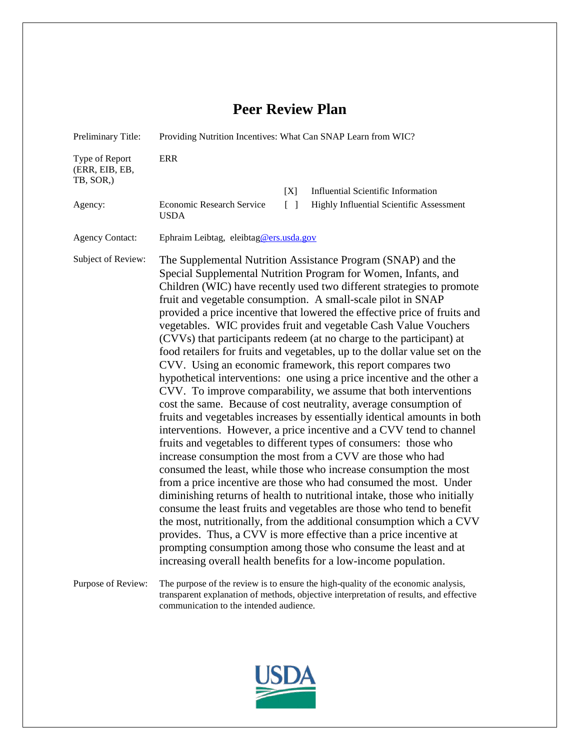## **Peer Review Plan**

| Preliminary Title:                            | Providing Nutrition Incentives: What Can SNAP Learn from WIC?                                                                                                                                                                                                                                                                                                                                                                                                                                                                                                                                                                                                                                                                                                                                                                                                                                                                                                                                                                                                                                                                                                                                                                                                                                                                                                                                                                                                                                                                                                                                                                                                                                                                           |  |  |  |  |  |  |
|-----------------------------------------------|-----------------------------------------------------------------------------------------------------------------------------------------------------------------------------------------------------------------------------------------------------------------------------------------------------------------------------------------------------------------------------------------------------------------------------------------------------------------------------------------------------------------------------------------------------------------------------------------------------------------------------------------------------------------------------------------------------------------------------------------------------------------------------------------------------------------------------------------------------------------------------------------------------------------------------------------------------------------------------------------------------------------------------------------------------------------------------------------------------------------------------------------------------------------------------------------------------------------------------------------------------------------------------------------------------------------------------------------------------------------------------------------------------------------------------------------------------------------------------------------------------------------------------------------------------------------------------------------------------------------------------------------------------------------------------------------------------------------------------------------|--|--|--|--|--|--|
| Type of Report<br>(ERR, EIB, EB,<br>TB, SOR,) | <b>ERR</b>                                                                                                                                                                                                                                                                                                                                                                                                                                                                                                                                                                                                                                                                                                                                                                                                                                                                                                                                                                                                                                                                                                                                                                                                                                                                                                                                                                                                                                                                                                                                                                                                                                                                                                                              |  |  |  |  |  |  |
|                                               | [X]<br><b>Influential Scientific Information</b>                                                                                                                                                                                                                                                                                                                                                                                                                                                                                                                                                                                                                                                                                                                                                                                                                                                                                                                                                                                                                                                                                                                                                                                                                                                                                                                                                                                                                                                                                                                                                                                                                                                                                        |  |  |  |  |  |  |
| Agency:                                       | $\begin{bmatrix} 1 \end{bmatrix}$<br>Highly Influential Scientific Assessment<br>Economic Research Service<br><b>USDA</b>                                                                                                                                                                                                                                                                                                                                                                                                                                                                                                                                                                                                                                                                                                                                                                                                                                                                                                                                                                                                                                                                                                                                                                                                                                                                                                                                                                                                                                                                                                                                                                                                               |  |  |  |  |  |  |
| <b>Agency Contact:</b>                        | Ephraim Leibtag, eleibtag@ers.usda.gov                                                                                                                                                                                                                                                                                                                                                                                                                                                                                                                                                                                                                                                                                                                                                                                                                                                                                                                                                                                                                                                                                                                                                                                                                                                                                                                                                                                                                                                                                                                                                                                                                                                                                                  |  |  |  |  |  |  |
| Subject of Review:                            | The Supplemental Nutrition Assistance Program (SNAP) and the<br>Special Supplemental Nutrition Program for Women, Infants, and<br>Children (WIC) have recently used two different strategies to promote<br>fruit and vegetable consumption. A small-scale pilot in SNAP<br>provided a price incentive that lowered the effective price of fruits and<br>vegetables. WIC provides fruit and vegetable Cash Value Vouchers<br>(CVVs) that participants redeem (at no charge to the participant) at<br>food retailers for fruits and vegetables, up to the dollar value set on the<br>CVV. Using an economic framework, this report compares two<br>hypothetical interventions: one using a price incentive and the other a<br>CVV. To improve comparability, we assume that both interventions<br>cost the same. Because of cost neutrality, average consumption of<br>fruits and vegetables increases by essentially identical amounts in both<br>interventions. However, a price incentive and a CVV tend to channel<br>fruits and vegetables to different types of consumers: those who<br>increase consumption the most from a CVV are those who had<br>consumed the least, while those who increase consumption the most<br>from a price incentive are those who had consumed the most. Under<br>diminishing returns of health to nutritional intake, those who initially<br>consume the least fruits and vegetables are those who tend to benefit<br>the most, nutritionally, from the additional consumption which a CVV<br>provides. Thus, a CVV is more effective than a price incentive at<br>prompting consumption among those who consume the least and at<br>increasing overall health benefits for a low-income population. |  |  |  |  |  |  |
| Purpose of Review:                            | The purpose of the review is to ensure the high-quality of the economic analysis,<br>transparent explanation of methods, objective interpretation of results, and effective<br>communication to the intended audience.                                                                                                                                                                                                                                                                                                                                                                                                                                                                                                                                                                                                                                                                                                                                                                                                                                                                                                                                                                                                                                                                                                                                                                                                                                                                                                                                                                                                                                                                                                                  |  |  |  |  |  |  |